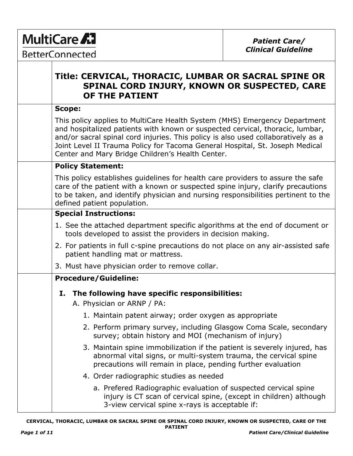**MultiCare A7** 

# **Title: CERVICAL, THORACIC, LUMBAR OR SACRAL SPINE OR SPINAL CORD INJURY, KNOWN OR SUSPECTED, CARE OF THE PATIENT**

### **Scope:**

This policy applies to MultiCare Health System (MHS) Emergency Department and hospitalized patients with known or suspected cervical, thoracic, lumbar, and/or sacral spinal cord injuries. This policy is also used collaboratively as a Joint Level II Trauma Policy for Tacoma General Hospital, St. Joseph Medical Center and Mary Bridge Children's Health Center.

# **Policy Statement:**

This policy establishes guidelines for health care providers to assure the safe care of the patient with a known or suspected spine injury, clarify precautions to be taken, and identify physician and nursing responsibilities pertinent to the defined patient population.

## **Special Instructions:**

- 1. See the attached department specific algorithms at the end of document or tools developed to assist the providers in decision making.
- 2. For patients in full c-spine precautions do not place on any air-assisted safe patient handling mat or mattress.
- 3. Must have physician order to remove collar.

# **Procedure/Guideline:**

**I. The following have specific responsibilities:** A. Physician or ARNP / PA: 1. Maintain patent airway; order oxygen as appropriate 2. Perform primary survey, including Glasgow Coma Scale, secondary survey; obtain history and MOI (mechanism of injury) 3. Maintain spine immobilization if the patient is severely injured, has abnormal vital signs, or multi-system trauma, the cervical spine precautions will remain in place, pending further evaluation 4. Order radiographic studies as needed a. Prefered Radiographic evaluation of suspected cervical spine injury is CT scan of cervical spine, (except in children) although

3-view cervical spine x-rays is acceptable if: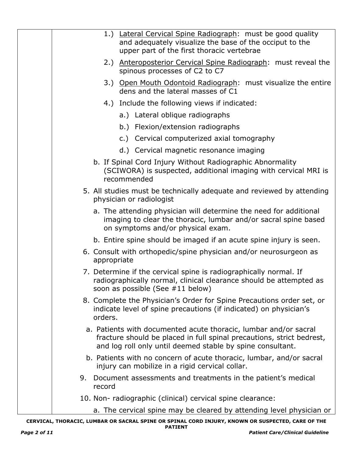| 1.) Lateral Cervical Spine Radiograph: must be good quality                                                                                                                                             |
|---------------------------------------------------------------------------------------------------------------------------------------------------------------------------------------------------------|
| and adequately visualize the base of the occiput to the<br>upper part of the first thoracic vertebrae                                                                                                   |
| 2.) Anteroposterior Cervical Spine Radiograph: must reveal the<br>spinous processes of C2 to C7                                                                                                         |
| 3.) Open Mouth Odontoid Radiograph: must visualize the entire<br>dens and the lateral masses of C1                                                                                                      |
| 4.) Include the following views if indicated:                                                                                                                                                           |
| a.) Lateral oblique radiographs                                                                                                                                                                         |
| b.) Flexion/extension radiographs                                                                                                                                                                       |
| c.) Cervical computerized axial tomography                                                                                                                                                              |
| d.) Cervical magnetic resonance imaging                                                                                                                                                                 |
| b. If Spinal Cord Injury Without Radiographic Abnormality<br>(SCIWORA) is suspected, additional imaging with cervical MRI is<br>recommended                                                             |
| 5. All studies must be technically adequate and reviewed by attending<br>physician or radiologist                                                                                                       |
| a. The attending physician will determine the need for additional<br>imaging to clear the thoracic, lumbar and/or sacral spine based<br>on symptoms and/or physical exam.                               |
| b. Entire spine should be imaged if an acute spine injury is seen.                                                                                                                                      |
| 6. Consult with orthopedic/spine physician and/or neurosurgeon as<br>appropriate                                                                                                                        |
| 7. Determine if the cervical spine is radiographically normal. If<br>radiographically normal, clinical clearance should be attempted as<br>soon as possible (See #11 below)                             |
| 8. Complete the Physician's Order for Spine Precautions order set, or<br>indicate level of spine precautions (if indicated) on physician's<br>orders.                                                   |
| a. Patients with documented acute thoracic, lumbar and/or sacral<br>fracture should be placed in full spinal precautions, strict bedrest,<br>and log roll only until deemed stable by spine consultant. |
| b. Patients with no concern of acute thoracic, lumbar, and/or sacral<br>injury can mobilize in a rigid cervical collar.                                                                                 |
| Document assessments and treatments in the patient's medical<br>9.<br>record                                                                                                                            |
| 10. Non- radiographic (clinical) cervical spine clearance:                                                                                                                                              |
| a. The cervical spine may be cleared by attending level physician or                                                                                                                                    |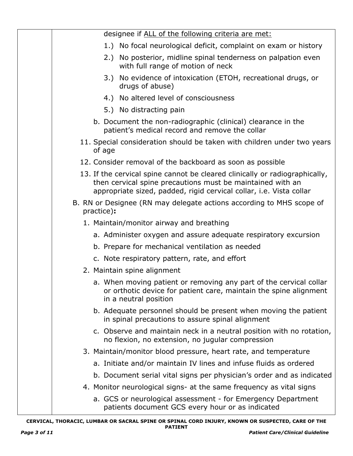| designee if ALL of the following criteria are met:                                                                                                                                                               |  |  |  |
|------------------------------------------------------------------------------------------------------------------------------------------------------------------------------------------------------------------|--|--|--|
| 1.) No focal neurological deficit, complaint on exam or history                                                                                                                                                  |  |  |  |
| 2.) No posterior, midline spinal tenderness on palpation even<br>with full range of motion of neck                                                                                                               |  |  |  |
| 3.) No evidence of intoxication (ETOH, recreational drugs, or<br>drugs of abuse)                                                                                                                                 |  |  |  |
| 4.) No altered level of consciousness                                                                                                                                                                            |  |  |  |
| 5.) No distracting pain                                                                                                                                                                                          |  |  |  |
| b. Document the non-radiographic (clinical) clearance in the<br>patient's medical record and remove the collar                                                                                                   |  |  |  |
| 11. Special consideration should be taken with children under two years<br>of age                                                                                                                                |  |  |  |
| 12. Consider removal of the backboard as soon as possible                                                                                                                                                        |  |  |  |
| 13. If the cervical spine cannot be cleared clinically or radiographically,<br>then cervical spine precautions must be maintained with an<br>appropriate sized, padded, rigid cervical collar, i.e. Vista collar |  |  |  |
| B. RN or Designee (RN may delegate actions according to MHS scope of<br>practice):                                                                                                                               |  |  |  |
| 1. Maintain/monitor airway and breathing                                                                                                                                                                         |  |  |  |
| a. Administer oxygen and assure adequate respiratory excursion                                                                                                                                                   |  |  |  |
| b. Prepare for mechanical ventilation as needed                                                                                                                                                                  |  |  |  |
| c. Note respiratory pattern, rate, and effort                                                                                                                                                                    |  |  |  |
| 2. Maintain spine alignment                                                                                                                                                                                      |  |  |  |
| a. When moving patient or removing any part of the cervical collar<br>or orthotic device for patient care, maintain the spine alignment<br>in a neutral position                                                 |  |  |  |
| b. Adequate personnel should be present when moving the patient<br>in spinal precautions to assure spinal alignment                                                                                              |  |  |  |
| c. Observe and maintain neck in a neutral position with no rotation,<br>no flexion, no extension, no jugular compression                                                                                         |  |  |  |
| 3. Maintain/monitor blood pressure, heart rate, and temperature                                                                                                                                                  |  |  |  |
| a. Initiate and/or maintain IV lines and infuse fluids as ordered                                                                                                                                                |  |  |  |
| b. Document serial vital signs per physician's order and as indicated                                                                                                                                            |  |  |  |
| 4. Monitor neurological signs- at the same frequency as vital signs                                                                                                                                              |  |  |  |
| a. GCS or neurological assessment - for Emergency Department<br>patients document GCS every hour or as indicated                                                                                                 |  |  |  |

**CERVICAL, THORACIC, LUMBAR OR SACRAL SPINE OR SPINAL CORD INJURY, KNOWN OR SUSPECTED, CARE OF THE PATIENT** *Page 3 of 11 Patient Care/Clinical Guideline*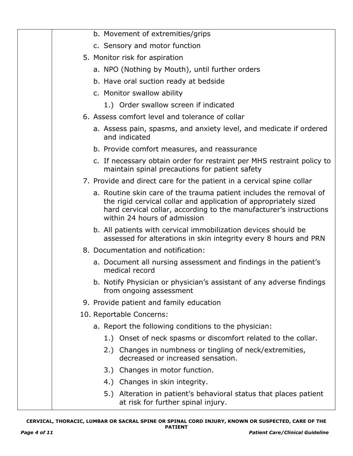| b. Movement of extremities/grips                                                                                                                                                                                                             |
|----------------------------------------------------------------------------------------------------------------------------------------------------------------------------------------------------------------------------------------------|
| c. Sensory and motor function                                                                                                                                                                                                                |
| 5. Monitor risk for aspiration                                                                                                                                                                                                               |
| a. NPO (Nothing by Mouth), until further orders                                                                                                                                                                                              |
| b. Have oral suction ready at bedside                                                                                                                                                                                                        |
| c. Monitor swallow ability                                                                                                                                                                                                                   |
| 1.) Order swallow screen if indicated                                                                                                                                                                                                        |
| 6. Assess comfort level and tolerance of collar                                                                                                                                                                                              |
| a. Assess pain, spasms, and anxiety level, and medicate if ordered<br>and indicated                                                                                                                                                          |
| b. Provide comfort measures, and reassurance                                                                                                                                                                                                 |
| c. If necessary obtain order for restraint per MHS restraint policy to<br>maintain spinal precautions for patient safety                                                                                                                     |
| 7. Provide and direct care for the patient in a cervical spine collar                                                                                                                                                                        |
| a. Routine skin care of the trauma patient includes the removal of<br>the rigid cervical collar and application of appropriately sized<br>hard cervical collar, according to the manufacturer's instructions<br>within 24 hours of admission |
| b. All patients with cervical immobilization devices should be<br>assessed for alterations in skin integrity every 8 hours and PRN                                                                                                           |
| 8. Documentation and notification:                                                                                                                                                                                                           |
| a. Document all nursing assessment and findings in the patient's<br>medical record                                                                                                                                                           |
| b. Notify Physician or physician's assistant of any adverse findings<br>from ongoing assessment                                                                                                                                              |
| 9. Provide patient and family education                                                                                                                                                                                                      |
| 10. Reportable Concerns:                                                                                                                                                                                                                     |
| a. Report the following conditions to the physician:                                                                                                                                                                                         |
| 1.) Onset of neck spasms or discomfort related to the collar.                                                                                                                                                                                |
| 2.) Changes in numbness or tingling of neck/extremities,<br>decreased or increased sensation.                                                                                                                                                |
| 3.) Changes in motor function.                                                                                                                                                                                                               |
| 4.) Changes in skin integrity.                                                                                                                                                                                                               |
| 5.) Alteration in patient's behavioral status that places patient<br>at risk for further spinal injury.                                                                                                                                      |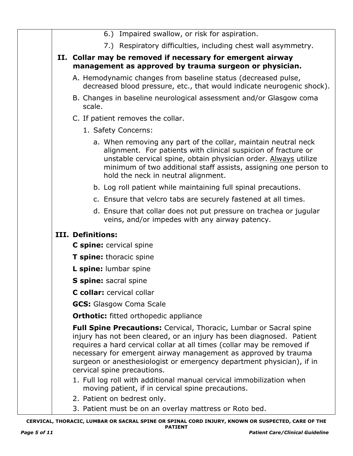|  | 6.) Impaired swallow, or risk for aspiration.                                                                                                                                                                                                                                                                                                                                                   |
|--|-------------------------------------------------------------------------------------------------------------------------------------------------------------------------------------------------------------------------------------------------------------------------------------------------------------------------------------------------------------------------------------------------|
|  | 7.) Respiratory difficulties, including chest wall asymmetry.                                                                                                                                                                                                                                                                                                                                   |
|  | II. Collar may be removed if necessary for emergent airway<br>management as approved by trauma surgeon or physician.                                                                                                                                                                                                                                                                            |
|  | A. Hemodynamic changes from baseline status (decreased pulse,<br>decreased blood pressure, etc., that would indicate neurogenic shock).                                                                                                                                                                                                                                                         |
|  | B. Changes in baseline neurological assessment and/or Glasgow coma<br>scale.                                                                                                                                                                                                                                                                                                                    |
|  | C. If patient removes the collar.                                                                                                                                                                                                                                                                                                                                                               |
|  | 1. Safety Concerns:                                                                                                                                                                                                                                                                                                                                                                             |
|  | a. When removing any part of the collar, maintain neutral neck<br>alignment. For patients with clinical suspicion of fracture or<br>unstable cervical spine, obtain physician order. Always utilize<br>minimum of two additional staff assists, assigning one person to<br>hold the neck in neutral alignment.                                                                                  |
|  | b. Log roll patient while maintaining full spinal precautions.                                                                                                                                                                                                                                                                                                                                  |
|  | c. Ensure that velcro tabs are securely fastened at all times.                                                                                                                                                                                                                                                                                                                                  |
|  | d. Ensure that collar does not put pressure on trachea or jugular<br>veins, and/or impedes with any airway patency.                                                                                                                                                                                                                                                                             |
|  | III. Definitions:                                                                                                                                                                                                                                                                                                                                                                               |
|  | C spine: cervical spine                                                                                                                                                                                                                                                                                                                                                                         |
|  | T spine: thoracic spine                                                                                                                                                                                                                                                                                                                                                                         |
|  | L spine: lumbar spine                                                                                                                                                                                                                                                                                                                                                                           |
|  | S spine: sacral spine                                                                                                                                                                                                                                                                                                                                                                           |
|  | C collar: cervical collar                                                                                                                                                                                                                                                                                                                                                                       |
|  | <b>GCS:</b> Glasgow Coma Scale                                                                                                                                                                                                                                                                                                                                                                  |
|  | <b>Orthotic:</b> fitted orthopedic appliance                                                                                                                                                                                                                                                                                                                                                    |
|  | Full Spine Precautions: Cervical, Thoracic, Lumbar or Sacral spine<br>injury has not been cleared, or an injury has been diagnosed. Patient<br>requires a hard cervical collar at all times (collar may be removed if<br>necessary for emergent airway management as approved by trauma<br>surgeon or anesthesiologist or emergency department physician), if in<br>cervical spine precautions. |
|  | 1. Full log roll with additional manual cervical immobilization when<br>moving patient, if in cervical spine precautions.<br>2. Patient on bedrest only.                                                                                                                                                                                                                                        |
|  | 3. Patient must be on an overlay mattress or Roto bed.                                                                                                                                                                                                                                                                                                                                          |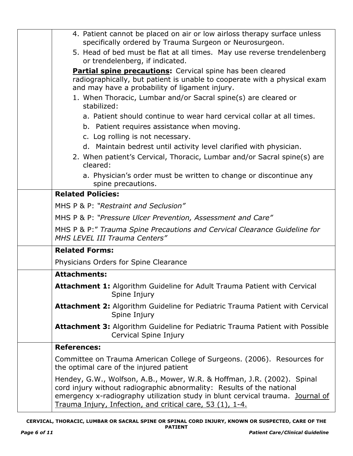| 4. Patient cannot be placed on air or low airloss therapy surface unless<br>specifically ordered by Trauma Surgeon or Neurosurgeon.                                                                                                                                                             |
|-------------------------------------------------------------------------------------------------------------------------------------------------------------------------------------------------------------------------------------------------------------------------------------------------|
| 5. Head of bed must be flat at all times. May use reverse trendelenberg<br>or trendelenberg, if indicated.                                                                                                                                                                                      |
| <b>Partial spine precautions:</b> Cervical spine has been cleared<br>radiographically, but patient is unable to cooperate with a physical exam<br>and may have a probability of ligament injury.                                                                                                |
| 1. When Thoracic, Lumbar and/or Sacral spine(s) are cleared or<br>stabilized:                                                                                                                                                                                                                   |
| a. Patient should continue to wear hard cervical collar at all times.                                                                                                                                                                                                                           |
| b. Patient requires assistance when moving.<br>c. Log rolling is not necessary.                                                                                                                                                                                                                 |
| d. Maintain bedrest until activity level clarified with physician.                                                                                                                                                                                                                              |
| 2. When patient's Cervical, Thoracic, Lumbar and/or Sacral spine(s) are<br>cleared:                                                                                                                                                                                                             |
| a. Physician's order must be written to change or discontinue any<br>spine precautions.                                                                                                                                                                                                         |
| <b>Related Policies:</b>                                                                                                                                                                                                                                                                        |
| MHS P & P: "Restraint and Seclusion"                                                                                                                                                                                                                                                            |
| MHS P & P: "Pressure Ulcer Prevention, Assessment and Care"                                                                                                                                                                                                                                     |
| MHS P & P:" Trauma Spine Precautions and Cervical Clearance Guideline for<br>MHS LEVEL III Trauma Centers"                                                                                                                                                                                      |
| <b>Related Forms:</b>                                                                                                                                                                                                                                                                           |
| Physicians Orders for Spine Clearance                                                                                                                                                                                                                                                           |
| <b>Attachments:</b>                                                                                                                                                                                                                                                                             |
| <b>Attachment 1:</b> Algorithm Guideline for Adult Trauma Patient with Cervical<br>Spine Injury                                                                                                                                                                                                 |
| <b>Attachment 2:</b> Algorithm Guideline for Pediatric Trauma Patient with Cervical<br>Spine Injury                                                                                                                                                                                             |
| Attachment 3: Algorithm Guideline for Pediatric Trauma Patient with Possible<br>Cervical Spine Injury                                                                                                                                                                                           |
| <b>References:</b>                                                                                                                                                                                                                                                                              |
| Committee on Trauma American College of Surgeons. (2006). Resources for<br>the optimal care of the injured patient                                                                                                                                                                              |
| Hendey, G.W., Wolfson, A.B., Mower, W.R. & Hoffman, J.R. (2002). Spinal<br>cord injury without radiographic abnormality: Results of the national<br>emergency x-radiography utilization study in blunt cervical trauma. Journal of<br>Trauma Injury, Infection, and critical care, 53 (1), 1-4. |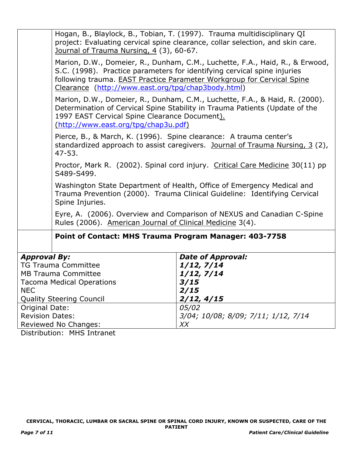|                                                | Hogan, B., Blaylock, B., Tobian, T. (1997). Trauma multidisciplinary QI<br>project: Evaluating cervical spine clearance, collar selection, and skin care.<br>Journal of Trauma Nursing, 4 (3), 60-67.                                                                                    |  |  |  |
|------------------------------------------------|------------------------------------------------------------------------------------------------------------------------------------------------------------------------------------------------------------------------------------------------------------------------------------------|--|--|--|
|                                                | Marion, D.W., Domeier, R., Dunham, C.M., Luchette, F.A., Haid, R., & Erwood,<br>S.C. (1998). Practice parameters for identifying cervical spine injuries<br>following trauma. EAST Practice Parameter Workgroup for Cervical Spine<br>Clearance (http://www.east.org/tpg/chap3body.html) |  |  |  |
|                                                | Marion, D.W., Domeier, R., Dunham, C.M., Luchette, F.A., & Haid, R. (2000).<br>Determination of Cervical Spine Stability in Trauma Patients (Update of the<br>1997 EAST Cervical Spine Clearance Document).<br>(http://www.east.org/tpg/chap3u.pdf)                                      |  |  |  |
| $47 - 53.$                                     | Pierce, B., & March, K. (1996). Spine clearance: A trauma center's<br>standardized approach to assist caregivers. Journal of Trauma Nursing, 3 (2),                                                                                                                                      |  |  |  |
| S489-S499.                                     | Proctor, Mark R. (2002). Spinal cord injury. Critical Care Medicine 30(11) pp                                                                                                                                                                                                            |  |  |  |
| Spine Injuries.                                | Washington State Department of Health, Office of Emergency Medical and<br>Trauma Prevention (2000). Trauma Clinical Guideline: Identifying Cervical                                                                                                                                      |  |  |  |
|                                                | Eyre, A. (2006). Overview and Comparison of NEXUS and Canadian C-Spine<br>Rules (2006). American Journal of Clinical Medicine 3(4).                                                                                                                                                      |  |  |  |
|                                                | Point of Contact: MHS Trauma Program Manager: 403-7758                                                                                                                                                                                                                                   |  |  |  |
| <b>Approval By:</b>                            | <b>Date of Approval:</b>                                                                                                                                                                                                                                                                 |  |  |  |
| <b>TG Trauma Committee</b>                     | 1/12, 7/14                                                                                                                                                                                                                                                                               |  |  |  |
| <b>MB Trauma Committee</b>                     | 1/12, 7/14                                                                                                                                                                                                                                                                               |  |  |  |
| <b>Tacoma Medical Operations</b><br><b>NEC</b> | 3/15<br>2/15                                                                                                                                                                                                                                                                             |  |  |  |
| <b>Quality Steering Council</b>                | 2/12, 4/15                                                                                                                                                                                                                                                                               |  |  |  |
| Original Date:                                 | 05/02                                                                                                                                                                                                                                                                                    |  |  |  |
| <b>Revision Dates:</b>                         | 3/04; 10/08; 8/09; 7/11; 1/12, 7/14                                                                                                                                                                                                                                                      |  |  |  |
| Reviewed No Changes:                           | XX                                                                                                                                                                                                                                                                                       |  |  |  |

Distribution: MHS Intranet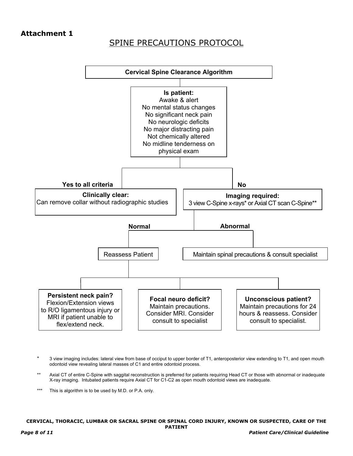## **Attachment 1**

# SPINE PRECAUTIONS PROTOCOL



- \* 3 view imaging includes: lateral view from base of occiput to upper border of T1, anteroposterior view extending to T1, and open mouth odontoid view revealing lateral masses of C1 and entire odontoid process.
- Axial CT of entire C-Spine with saggital reconstruction is preferred for patients requiring Head CT or those with abnormal or inadequate X-ray imaging. Intubated patients require Axial CT for C1-C2 as open mouth odontoid views are inadequate.
- \*\*\* This is algorithm is to be used by M.D. or P.A. only.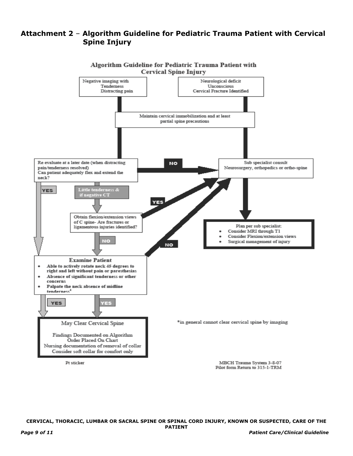### **Attachment 2** – **Algorithm Guideline for Pediatric Trauma Patient with Cervical Spine Injury**



**CERVICAL, THORACIC, LUMBAR OR SACRAL SPINE OR SPINAL CORD INJURY, KNOWN OR SUSPECTED, CARE OF THE PATIENT**

*Page 9 of 11 Patient Care/Clinical Guideline*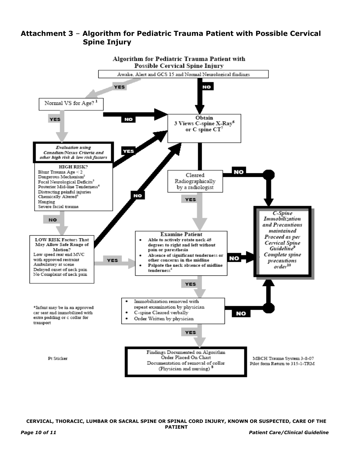

## **Attachment 3** – **Algorithm for Pediatric Trauma Patient with Possible Cervical Spine Injury**